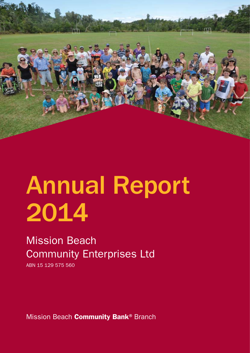

# Annual Report 2014

Mission Beach Community Enterprises Ltd

ABN 15 129 575 560

Mission Beach Community Bank® Branch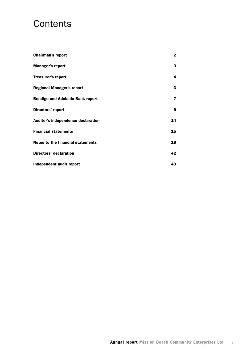## **Contents**

| <b>Chairman's report</b>                | $\mathbf{2}$ |
|-----------------------------------------|--------------|
| <b>Manager's report</b>                 | 3            |
| <b>Treasurer's report</b>               | 4            |
| <b>Regional Manager's report</b>        | 6            |
| <b>Bendigo and Adelaide Bank report</b> | 7            |
| Directors' report                       | 9            |
| Auditor's independence declaration      | 14           |
| <b>Financial statements</b>             | 15           |
| Notes to the financial statements       | 19           |
| <b>Directors' declaration</b>           | 42           |
| Independent audit report                | 43           |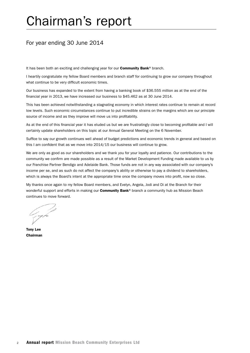## Chairman's report

## For year ending 30 June 2014

It has been both an exciting and challenging year for our **Community Bank**<sup>®</sup> branch.

I heartily congratulate my fellow Board members and branch staff for continuing to grow our company throughout what continue to be very difficult economic times.

Our business has expanded to the extent from having a banking book of \$36.555 million as at the end of the financial year in 2013, we have increased our business to \$45.462 as at 30 June 2014.

This has been achieved notwithstanding a stagnating economy in which interest rates continue to remain at record low levels. Such economic circumstances continue to put incredible strains on the margins which are our principle source of income and as they improve will move us into profitability.

As at the end of this financial year it has eluded us but we are frustratingly close to becoming profitable and I will certainly update shareholders on this topic at our Annual General Meeting on the 6 November.

Suffice to say our growth continues well ahead of budget predictions and economic trends in general and based on this I am confident that as we move into 2014/15 our business will continue to grow.

We are only as good as our shareholders and we thank you for your loyalty and patience. Our contributions to the community we confirm are made possible as a result of the Market Development Funding made available to us by our Franchise Partner Bendigo and Adelaide Bank. Those funds are not in any way associated with our company's income per se, and as such do not affect the company's ability or otherwise to pay a dividend to shareholders, which is always the Board's intent at the appropriate time once the company moves into profit, now so close.

My thanks once again to my fellow Board members, and Evelyn, Angela, Jodi and Di at the Branch for their wonderful support and efforts in making our **Community Bank®** branch a community hub as Mission Beach continues to move forward.

Tony Lee Chairman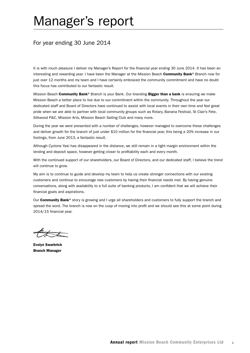## Manager's report

## For year ending 30 June 2014

It is with much pleasure I deliver my Manager's Report for the financial year ending 30 June 2014. It has been an interesting and rewarding year. I have been the Manager at the Mission Beach Community Bank® Branch now for just over 12 months and my team and I have certainly embraced the community commitment and have no doubt this focus has contributed to our fantastic result.

Mission Beach Community Bank® Branch is your Bank. Our branding Bigger than a bank is ensuring we make Mission Beach a better place to live due to our commitment within the community. Throughout the year our dedicated staff and Board of Directors have continued to assist with local events in their own time and feel great pride when we are able to partner with local community groups such as Rotary, Banana Festival, St Clair's Fete, Silkwood P&C, Mission Arts, Mission Beach Sailing Club and many more.

During the year we were presented with a number of challenges, however managed to overcome these challenges and deliver growth for the branch of just under \$10 million for the financial year, this being a 20% increase in our footings, from June 2013, a fantastic result.

Although Cyclone Yasi has disappeared in the distance, we still remain in a tight margin environment within the lending and deposit space, however getting closer to profitability each and every month.

With the continued support of our shareholders, our Board of Directors, and our dedicated staff, I believe the trend will continue to grow.

My aim is to continue to guide and develop my team to help us create stronger connections with our existing customers and continue to encourage new customers by having their financial needs met. By having genuine conversations, along with availability to a full suite of banking products, I am confident that we will achieve their financial goals and aspirations.

Our Community Bank® story is growing and I urge all shareholders and customers to fully support the branch and spread the word. The branch is now on the cusp of moving into profit and we should see this at some point during 2014/15 financial year.

Evelyn Swarbrick Branch Manager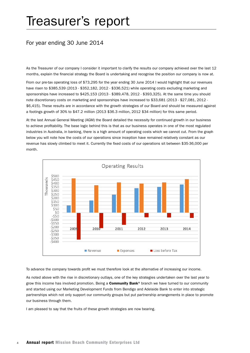## Treasurer's report

## For year ending 30 June 2014

As the Treasurer of our company I consider it important to clarify the results our company achieved over the last 12 months, explain the financial strategy the Board is undertaking and recognise the position our company is now at.

From our pre-tax operating loss of \$73,295 for the year ending 30 June 2014 I would highlight that our revenues have risen to \$385,539 (2013 - \$352,182, 2012 - \$336,521) while operating costs excluding marketing and sponsorships have increased to \$425,153 (2013 - \$389,478, 2012 - \$393,325). At the same time you should note discretionary costs on marketing and sponsorships have increased to \$33,681 (2013 - \$27,081, 2012 -\$6,415). These results are in accordance with the growth strategies of our Board and should be measured against a footings growth of 30% to \$47.2 million (2013 \$36.3 million, 2012 \$34 million) for this same period. \$47.2 million (2013 \$36.3 million, 2012 \$34 million) for this same period.

At the last Annual General Meeting (AGM) the Board detailed the necessity for continued growth in our business At the last Annual General Meeting (AGM) the Board detailed the necessity for continued to achieve profitability. The base logic behind this is that as our business operates in one of the most regulated industries in Australia, in banking, there is a high amount of operating costs which we cannot cut. From the graph below you will note how the costs of our operations since inception have remained relatively constant as our revenue has slowly climbed to meet it. Currently the fixed costs of our operations sit between \$35-36,000 per month.  $t$  meeth. Currently the fixed costs of our operations sit between  $\mathcal{L}$ 



To advance the company towards profit we must therefore look at the alternative of increasing our income. To advance the company towards profit we must therefore look at the alternative of increasing

As noted above with the rise in discretionary outlays, one of the key strategies undertaken over the last year to grow this income has involved promotion. Being a **Community Bank®** branch we have turned to our community and started using our Marketing Development Funds from Bendigo and Adelaide Bank to enter into strategic partnerships which not only support our community groups but put partnership arrangements in place to promote our business through them. We have turned to our community and started using  $\alpha$ 

I am pleased to say that the fruits of these growth strategies are now bearing. r am picascu to say that the mults of these growth strategies are now beamig.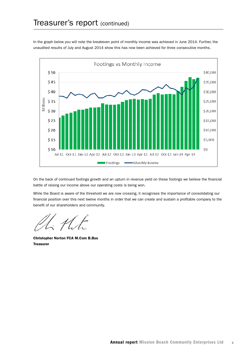



On the back of continued footings growth and an upturn in revenue yield on these footings we believe the financial On the back of continued footings growth and an upturn in revenue yield on these footings we on the back of continuou footings growth and an aptum in forentic yield on these footings we believe the finan<br>battle of raising our income above our operating costs is being won.

While the Board is aware of the threshold we are now crossing, it recognises the importance of consolidating our While the Board is aware of the threshold we are now crossing, it recognises the importance of financial position over this next twelve months in order that we can create and sustain a profitable company to the benefit of our shareholders and community.

Christopher Norton FCA M.Com B.Bus **Treasurer** Christopher Norton FCA M.Com B.Bus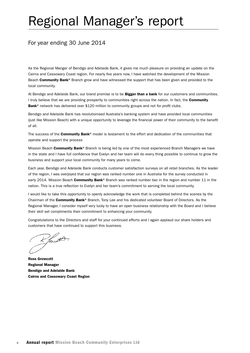## Regional Manager's report

## For year ending 30 June 2014

As the Regional Manger of Bendigo and Adelaide Bank, it gives me much pleasure on providing an update on the Cairns and Cassowary Coast region. For nearly five years now, I have watched the development of the Mission Beach Community Bank® Branch grow and have witnessed the support that has been given and provided to the local community.

At Bendigo and Adelaide Bank, our brand promise is to be Bigger than a bank for our customers and communities. I truly believe that we are providing prosperity to communities right across the nation. In fact, the **Community** Bank<sup>®</sup> network has delivered over \$120 million to community groups and not for profit clubs.

Bendigo and Adelaide Bank has revolutionised Australia's banking system and have provided local communities (just like Mission Beach) with a unique opportunity to leverage the financial power of their community to the benefit of all.

The success of the **Community Bank®** model is testament to the effort and dedication of the communities that operate and support the process

Mission Beach Community Bank® Branch is being led by one of the most experienced Branch Managers we have in the state and I have full confidence that Evelyn and her team will do every thing possible to continue to grow the business and support your local community for many years to come.

Each year, Bendigo and Adelaide Bank conducts customer satisfaction surveys on all retail branches. As the leader of the region, I was overjoyed that our region was ranked number one in Australia for the survey conducted in early 2014. Mission Beach Community Bank® Branch was ranked number two in the region and number 11 in the nation. This is a true reflection to Evelyn and her team's commitment to serving the local community.

I would like to take this opportunity to openly acknowledge the work that is completed behind the scenes by the Chairman of the **Community Bank**® Branch, Tony Lee and his dedicated volunteer Board of Directors. As the Regional Manager, I consider myself very lucky to have an open business relationship with the Board and I believe their skill set compliments their commitment to enhancing your community.

Congratulations to the Directors and staff for your continued efforts and I again applaud our share holders and customers that have continued to support this business.

Herrot

Ross Growcott Regional Manager Bendigo and Adelaide Bank Cairns and Cassowary Coast Region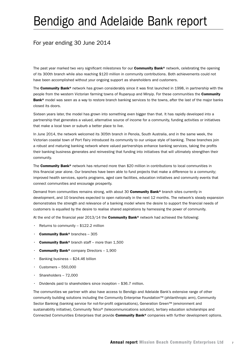## Bendigo and Adelaide Bank report

## For year ending 30 June 2014

The past year marked two very significant milestones for our **Community Bank®** network, celebrating the opening of its 300th branch while also reaching \$120 million in community contributions. Both achievements could not have been accomplished without your ongoing support as shareholders and customers.

The Community Bank® network has grown considerably since it was first launched in 1998, in partnership with the people from the western Victorian farming towns of Rupanyup and Minyip. For these communities the Community Bank<sup>®</sup> model was seen as a way to restore branch banking services to the towns, after the last of the major banks closed its doors.

Sixteen years later, the model has grown into something even bigger than that. It has rapidly developed into a partnership that generates a valued, alternative source of income for a community, funding activities or initiatives that make a local town or suburb a better place to live.

In June 2014, the network welcomed its 305th branch in Penola, South Australia, and in the same week, the Victorian coastal town of Port Fairy introduced its community to our unique style of banking. These branches join a robust and maturing banking network where valued partnerships enhance banking services, taking the profits their banking business generates and reinvesting that funding into initiatives that will ultimately strengthen their community.

The Community Bank® network has returned more than \$20 million in contributions to local communities in this financial year alone. Our branches have been able to fund projects that make a difference to a community; improved health services, sports programs, aged care facilities, education initiatives and community events that connect communities and encourage prosperity.

Demand from communities remains strong, with about 30 **Community Bank®** branch sites currently in development, and 10 branches expected to open nationally in the next 12 months. The network's steady expansion demonstrates the strength and relevance of a banking model where the desire to support the financial needs of customers is equalled by the desire to realise shared aspirations by harnessing the power of community.

At the end of the financial year 2013/14 the **Community Bank®** network had achieved the following:

- Returns to community  $-$  \$122.2 million
- **Community Bank®** branches  $-305$
- **Community Bank®** branch staff more than  $1,500$
- **Community Bank®** company Directors  $-1,900$
- Banking business  $-$  \$24.46 billion
- Customers 550,000
- Shareholders 72,000
- $\cdot$  Dividends paid to shareholders since inception \$36.7 million.

The communities we partner with also have access to Bendigo and Adelaide Bank's extensive range of other community building solutions including the Community Enterprise Foundation™ (philanthropic arm), Community Sector Banking (banking service for not-for-profit organisations), Generation Green™ (environment and sustainability initiative), Community Telco® (telecommunications solution), tertiary education scholarships and Connected Communities Enterprises that provide Community Bank<sup>®</sup> companies with further development options.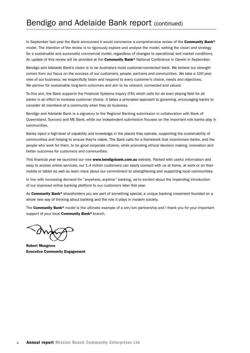In September last year the Bank announced it would commence a comprehensive review of the Community Bank® model. The intention of the review is to rigorously explore and analyse the model, setting the vision and strategy for a sustainable and successful commercial model, regardless of changes to operational and market conditions. An update of this review will be provided at the Community Bank® National Conference in Darwin in September.

Bendigo and Adelaide Bank's vision is to be Australia's most customer-connected bank. We believe our strength comes from our focus on the success of our customers, people, partners and communities. We take a 100-year view of our business; we respectfully listen and respond to every customer's choice, needs and objectives. We partner for sustainable long-term outcomes and aim to be relevant, connected and valued.

To this aim, the Bank supports the Financial Systems Inquiry (FSI) which calls for an even playing field for all banks in an effort to increase customer choice. It takes a principled approach to governing, encouraging banks to consider all members of a community when they do business.

Bendigo and Adelaide Bank is a signatory to the Regional Banking submission in collaboration with Bank of Queensland, Suncorp and ME Bank, while our independent submission focuses on the important role banks play in communities.

Banks inject a high-level of capability and knowledge in the places they operate, supporting the sustainability of communities and helping to ensure they're viable. The Bank calls for a framework that incentivises banks, and the people who work for them, to be good corporate citizens, while promoting ethical decision making, innovation and better outcomes for customers and communities.

This financial year we launched our new www.bendigobank.com.au website. Packed with useful information and easy to access online services, our 1.4 million customers can easily connect with us at home, at work or on their mobile or tablet as well as learn more about our commitment to strengthening and supporting local communities.

In line with increasing demand for "anywhere, anytime" banking, we're excited about the impending introduction of our improved online banking platform to our customers later this year.

As Community Bank® shareholders you are part of something special, a unique banking movement founded on a whole new way of thinking about banking and the role it plays in modern society.

The Community Bank® model is the ultimate example of a win/win partnership and I thank you for your important support of your local **Community Bank®** branch.

Robert Musgrove Executive Community Engagement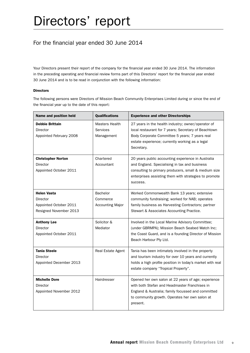## For the financial year ended 30 June 2014

Your Directors present their report of the company for the financial year ended 30 June 2014. The information in the preceding operating and financial review forms part of this Directors' report for the financial year ended 30 June 2014 and is to be read in conjunction with the following information:

#### **Directors**

The following persons were Directors of Mission Beach Community Enterprises Limited during or since the end of the financial year up to the date of this report:

| Name and position held                                                             | <b>Qualifications</b>                                  | <b>Experience and other Directorships</b>                                                                                                                                                                                        |
|------------------------------------------------------------------------------------|--------------------------------------------------------|----------------------------------------------------------------------------------------------------------------------------------------------------------------------------------------------------------------------------------|
| <b>Debbie Brittain</b><br><b>Director</b><br>Appointed February 2008               | <b>Masters Health</b><br><b>Services</b><br>Management | 27 years in the health industry; owner/operator of<br>local restaurant for 7 years; Secretary of Beachtown<br>Body Corporate Committee 5 years; 7 years real<br>estate experience; currently working as a legal<br>Secretary.    |
| <b>Christopher Norton</b><br>Director<br>Appointed October 2011                    | Chartered<br>Accountant                                | 20 years public accounting experience in Australia<br>and England. Specialising in tax and business<br>consulting to primary producers, small & medium size<br>enterprises assisting them with strategies to promote<br>success. |
| <b>Helen Vasta</b><br>Director<br>Appointed October 2011<br>Resigned November 2013 | Bachelor<br>Commerce<br><b>Accounting Major</b>        | Worked Commonwealth Bank 13 years; extensive<br>community fundraising; worked for NAB; operates<br>family business as Harvesting Contractors; partner<br>Stewart & Associates Accounting Practice.                               |
| <b>Anthony Lee</b><br>Director<br>Appointed October 2011                           | Solicitor &<br>Mediator                                | Involved in the Local Marine Advisory Committee;<br>(under GBRMPA); Mission Beach Seabed Watch Inc;<br>the Coast Guard, and is a founding Director of Mission<br>Beach Harbour Pty Ltd.                                          |
| <b>Tania Steele</b><br>Director<br>Appointed December 2013                         | Real Estate Agent                                      | Tania has been intimately involved in the property<br>and tourism industry for over 10 years and currently<br>holds a high profile position in today's market with real<br>estate company "Tropical Property".                   |
| <b>Michelle Dore</b><br>Director<br>Appointed November 2012                        | Hairdresser                                            | Opened her own salon at 22 years of age; experience<br>with both Stefan and Headmaster Franchises in<br>England & Australia; family focussed and committed<br>to community growth. Operates her own salon at<br>present.         |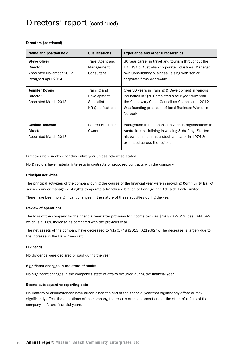#### Directors (continued)

| Name and position held                                                            | <b>Qualifications</b>                                                        | <b>Experience and other Directorships</b>                                                                                                                                                                                      |
|-----------------------------------------------------------------------------------|------------------------------------------------------------------------------|--------------------------------------------------------------------------------------------------------------------------------------------------------------------------------------------------------------------------------|
| <b>Steve Oliver</b><br>Director<br>Appointed November 2012<br>Resigned April 2014 | Travel Agent and<br>Management<br>Consultant                                 | 30 year career in travel and tourism throughout the<br>UK, USA & Australian corporate industries. Managed<br>own Consultancy business liaising with senior<br>corporate firms world-wide.                                      |
| <b>Jennifer Downs</b><br>Director<br>Appointed March 2013                         | Training and<br>Development<br><b>Specialist</b><br><b>HR Qualifications</b> | Over 30 years in Training & Development in various<br>industries in Old. Completed a four year term with<br>the Cassowary Coast Council as Councillor in 2012.<br>Was founding president of local Business Women's<br>Network. |
| <b>Cosimo Tedesco</b><br>Director<br>Appointed March 2013                         | <b>Retired Business</b><br>Owner                                             | Background in maitenance in various organisations in<br>Australia, specialising in welding & drafting. Started<br>his own business as a steel fabricator in 1974 &<br>expanded across the region.                              |

Directors were in office for this entire year unless otherwise stated.

No Directors have material interests in contracts or proposed contracts with the company.

#### Principal activities

The principal activities of the company during the course of the financial year were in providing Community Bank® services under management rights to operate a franchised branch of Bendigo and Adelaide Bank Limited.

There have been no significant changes in the nature of these activities during the year.

#### Review of operations

The loss of the company for the financial year after provision for income tax was \$48,876 (2013 loss: \$44,589), which is a 9.6% increase as compared with the previous year.

The net assets of the company have decreased to \$170,748 (2013: \$219,624). The decrease is largely due to the increase in the Bank Overdraft.

#### Dividends

No dividends were declared or paid during the year.

#### Significant changes in the state of affairs

No significant changes in the company's state of affairs occurred during the financial year.

#### Events subsequent to reporting date

No matters or circumstances have arisen since the end of the financial year that significantly affect or may significantly affect the operations of the company, the results of those operations or the state of affairs of the company, in future financial years.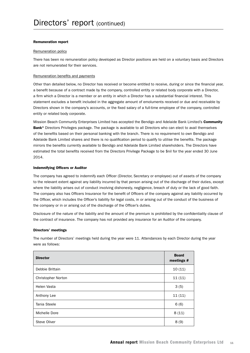#### Remuneration report

#### Remuneration policy

There has been no remuneration policy developed as Director positions are held on a voluntary basis and Directors are not remunerated for their services.

#### Remuneration benefits and payments

Other than detailed below, no Director has received or become entitled to receive, during or since the financial year, a benefit because of a contract made by the company, controlled entity or related body corporate with a Director, a firm which a Director is a member or an entity in which a Director has a substantial financial interest. This statement excludes a benefit included in the aggregate amount of emoluments received or due and receivable by Directors shown in the company's accounts, or the fixed salary of a full-time employee of the company, controlled entity or related body corporate.

Mission Beach Community Enterprises Limited has accepted the Bendigo and Adelaide Bank Limited's Community Bank<sup>®</sup> Directors Privileges package. The package is available to all Directors who can elect to avail themselves of the benefits based on their personal banking with the branch. There is no requirement to own Bendigo and Adelaide Bank Limited shares and there is no qualification period to qualify to utilise the benefits. The package mirrors the benefits currently available to Bendigo and Adelaide Bank Limited shareholders. The Directors have estimated the total benefits received from the Directors Privilege Package to be \$nil for the year ended 30 June 2014.

#### Indemnifying Officers or Auditor

The company has agreed to indemnify each Officer (Director, Secretary or employee) out of assets of the company to the relevant extent against any liability incurred by that person arising out of the discharge of their duties, except where the liability arises out of conduct involving dishonesty, negligence, breach of duty or the lack of good faith. The company also has Officers Insurance for the benefit of Officers of the company against any liability occurred by the Officer, which includes the Officer's liability for legal costs, in or arising out of the conduct of the business of the company or in or arising out of the discharge of the Officer's duties.

Disclosure of the nature of the liability and the amount of the premium is prohibited by the confidentiality clause of the contract of insurance. The company has not provided any insurance for an Auditor of the company.

#### Directors' meetings

The number of Directors' meetings held during the year were 11. Attendances by each Director during the year were as follows:

| <b>Director</b>           | <b>Board</b><br>meetings # |
|---------------------------|----------------------------|
| Debbie Brittain           | 10(11)                     |
| <b>Christopher Norton</b> | 11(11)                     |
| Helen Vasta               | 3(5)                       |
| Anthony Lee               | 11(11)                     |
| <b>Tania Steele</b>       | 6(6)                       |
| Michelle Dore             | 8(11)                      |
| Steve Oliver              | 8(9)                       |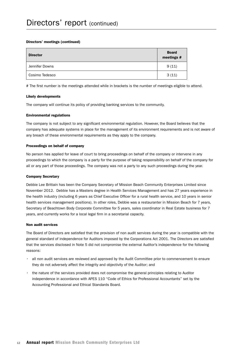#### Directors' meetings (continued)

| <b>Director</b> | <b>Board</b><br>meetings # |
|-----------------|----------------------------|
| Jennifer Downs  | 9(11)                      |
| Cosimo Tedesco  | 3(11)                      |

# The first number is the meetings attended while in brackets is the number of meetings eligible to attend.

#### Likely developments

The company will continue its policy of providing banking services to the community.

#### Environmental regulations

The company is not subject to any significant environmental regulation. However, the Board believes that the company has adequate systems in place for the management of its environment requirements and is not aware of any breach of these environmental requirements as they apply to the company.

#### Proceedings on behalf of company

No person has applied for leave of court to bring proceedings on behalf of the company or intervene in any proceedings to which the company is a party for the purpose of taking responsibility on behalf of the company for all or any part of those proceedings. The company was not a party to any such proceedings during the year.

#### Company Secretary

Debbie Lee Brittain has been the Company Secretary of Mission Beach Community Enterprises Limited since November 2012. Debbie has a Masters degree in Health Services Management and has 27 years experience in the health industry (including 6 years as Chief Executive Officer for a rural health service, and 10 years in senior health services management positions). In other roles, Debbie was a restauranter in Mission Beach for 7 years, Secretary of Beachtown Body Corporate Committee for 5 years, sales coordinator in Real Estate business for 7 years, and currently works for a local legal firm in a secretarial capacity.

#### Non audit services

The Board of Directors are satisfied that the provision of non audit services during the year is compatible with the general standard of independence for Auditors imposed by the Corporations Act 2001. The Directors are satisfied that the services disclosed in Note 5 did not compromise the external Auditor's independence for the following reasons:

- • all non audit services are reviewed and approved by the Audit Committee prior to commencement to ensure they do not adversely affect the integrity and objectivity of the Auditor; and
- the nature of the services provided does not compromise the general principles relating to Auditor independence in accordance with APES 110 "Code of Ethics for Professional Accountants" set by the Accounting Professional and Ethical Standards Board.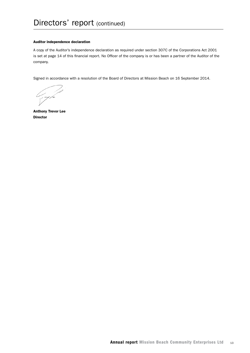#### Auditor independence declaration

A copy of the Auditor's independence declaration as required under section 307C of the Corporations Act 2001 is set at page 14 of this financial report. No Officer of the company is or has been a partner of the Auditor of the company.

Signed in accordance with a resolution of the Board of Directors at Mission Beach on 16 September 2014.

Anthony Trevor Lee Director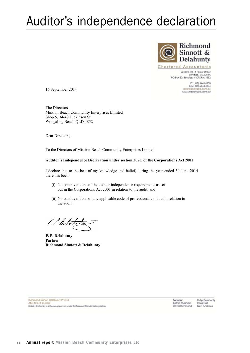## Auditor's independence declaration



Level 2, 10-16 Forest Street Bendigo, VICTORIA<br>PO Box 30, Bendigo VICTORIA 3552

> Ph: (03) 5445 4200<br>Fax: (03) 5444 4344 racijimsto wisors.com.cu www.rsdadvisors.com.au

16 September 2014

The Directors Mission Beach Community Enterprises Limited Shop 5, 34-40 Dickinson St Wongaling Beach QLD 4852

Dear Directors,

To the Directors of Mission Beach Community Enterprises Limited

#### **Auditor's Independence Declaration under section 307C of the Corporations Act 2001**

I declare that to the best of my knowledge and belief, during the year ended 30 June 2014 there has been:

- (i) No contraventions of the auditor independence requirements as set out in the Corporations Act 2001 in relation to the audit; and
- (ii) No contraventions of any applicable code of professional conduct in relation to the audit.

1.1. Delatatre

**P. P. Delahunty Partner Richmond Sinnott & Delahunty**

Partners: Kathle Teasdale<br>David Richmond Philip Delahunty Cara Hall<br>Brett Andrews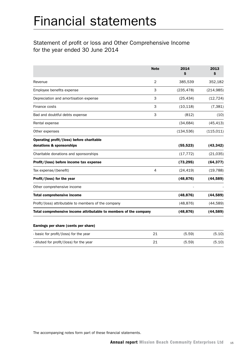## Statement of profit or loss and Other Comprehensive Income for the year ended 30 June 2014

|                                                                       | <b>Note</b>    | 2014<br>s  | 2013<br>\$ |
|-----------------------------------------------------------------------|----------------|------------|------------|
| Revenue                                                               | $\overline{2}$ | 385,539    | 352,182    |
| Employee benefits expense                                             | 3              | (235, 478) | (214, 985) |
| Depreciation and amortisation expense                                 | 3              | (25, 434)  | (12, 724)  |
| Finance costs                                                         | 3              | (10, 118)  | (7, 381)   |
| Bad and doubtful debts expense                                        | 3              | (812)      | (10)       |
| Rental expense                                                        |                | (34, 684)  | (45, 413)  |
| Other expenses                                                        |                | (134, 536) | (115, 011) |
| Operating profit/(loss) before charitable<br>donations & sponsorships |                | (55, 523)  | (43, 342)  |
| Charitable donations and sponsorships                                 |                | (17, 772)  | (21, 035)  |
| Profit/(loss) before income tax expense                               |                | (73, 295)  | (64, 377)  |
| Tax expense/(benefit)                                                 | 4              | (24, 419)  | (19, 788)  |
| Profit/(loss) for the year                                            |                | (48, 876)  | (44, 589)  |
| Other comprehensive income                                            |                |            |            |
| <b>Total comprehensive income</b>                                     |                | (48, 876)  | (44, 589)  |
| Profit/(loss) attributable to members of the company                  |                | (48, 876)  | (44, 589)  |
| Total comprehensive income attributable to members of the company     |                | (48, 876)  | (44, 589)  |
| Earnings per share (cents per share)                                  |                |            |            |
| - basic for profit/(loss) for the year                                | 21             | (5.59)     | (5.10)     |
| - diluted for profit/(loss) for the year                              | 21             | (5.59)     | (5.10)     |

The accompanying notes form part of these financial statements.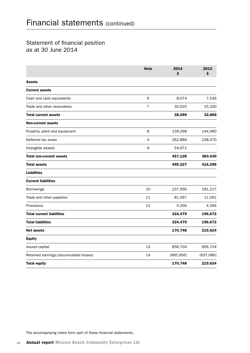## Statement of financial position as at 30 June 2014

|                                        | <b>Note</b> | 2014<br>\$ | 2013<br>\$ |
|----------------------------------------|-------------|------------|------------|
| <b>Assets</b>                          |             |            |            |
| <b>Current assets</b>                  |             |            |            |
| Cash and cash equivalents              | 6           | 8,074      | 7,536      |
| Trade and other receivables            | 7           | 30,025     | 25,330     |
| <b>Total current assets</b>            |             | 38,099     | 32,866     |
| <b>Non-current assets</b>              |             |            |            |
| Property, plant and equipment          | 8           | 139,268    | 144,960    |
| Deferred tax asset                     | 4           | 262,889    | 238,470    |
| Intangible assets                      | 9           | 54,971     |            |
| <b>Total non-current assets</b>        |             | 457,128    | 383,430    |
| <b>Total assets</b>                    |             | 495,227    | 416,296    |
| <b>Liabilities</b>                     |             |            |            |
| <b>Current liabilities</b>             |             |            |            |
| Borrowings                             | 10          | 237,956    | 181,217    |
| Trade and other payables               | 11          | 81,067     | 11,061     |
| Provisions                             | 12          | 5,456      | 4,394      |
| <b>Total current liabilities</b>       |             | 324,479    | 196,672    |
| <b>Total liabilities</b>               |             | 324,479    | 196,672    |
| <b>Net assets</b>                      |             | 170,748    | 219,624    |
| <b>Equity</b>                          |             |            |            |
| Issued capital                         | 13          | 856,704    | 856,704    |
| Retained earnings/(accumulated losses) | 14          | (685, 956) | (637,080)  |
| <b>Total equity</b>                    |             | 170,748    | 219,624    |

The accompanying notes form part of these financial statements.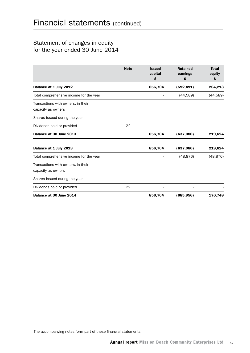## Statement of changes in equity for the year ended 30 June 2014

|                                                          | <b>Note</b> | <b>Issued</b><br>capital<br>\$ | <b>Retained</b><br>earnings<br>\$ | <b>Total</b><br>equity<br>\$ |
|----------------------------------------------------------|-------------|--------------------------------|-----------------------------------|------------------------------|
| Balance at 1 July 2012                                   |             | 856,704                        | (592, 491)                        | 264,213                      |
| Total comprehensive income for the year                  |             |                                | (44, 589)                         | (44, 589)                    |
| Transactions with owners, in their<br>capacity as owners |             |                                |                                   |                              |
| Shares issued during the year                            |             |                                |                                   |                              |
| Dividends paid or provided                               | 22          |                                |                                   |                              |
| Balance at 30 June 2013                                  |             | 856,704                        | (637,080)                         | 219,624                      |
| Balance at 1 July 2013                                   |             | 856,704                        | (637,080)                         | 219,624                      |
| Total comprehensive income for the year                  |             |                                | (48, 876)                         | (48, 876)                    |
| Transactions with owners, in their<br>capacity as owners |             |                                |                                   |                              |
| Shares issued during the year                            |             |                                |                                   |                              |
| Dividends paid or provided                               | 22          |                                |                                   |                              |
| Balance at 30 June 2014                                  |             | 856,704                        | (685, 956)                        | 170,748                      |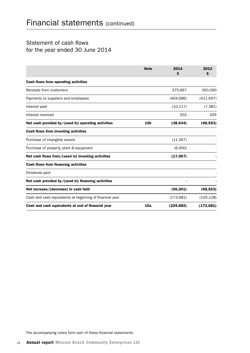## Statement of cash flows for the year ended 30 June 2014

|                                                          | <b>Note</b>     | 2014<br>Ş  | 2013<br>\$. |
|----------------------------------------------------------|-----------------|------------|-------------|
| <b>Cash flows from operating activities</b>              |                 |            |             |
| Receipts from customers                                  |                 | 375,667    | 350,090     |
| Payments to suppliers and employees                      |                 | (404, 686) | (411, 697)  |
| Interest paid                                            |                 | (10, 117)  | (7, 381)    |
| Interest received                                        |                 | 502        | 435         |
| Net cash provided by/(used in) operating activities      | 15 <sub>b</sub> | (38, 634)  | (68, 553)   |
| <b>Cash flows from investing activities</b>              |                 |            |             |
| Purchase of intangible assets                            |                 | (11, 567)  |             |
| Purchase of property, plant & equipment                  |                 | (6,000)    |             |
| Net cash flows from/(used in) investing activities       |                 | (17, 567)  |             |
| <b>Cash flows from financing activities</b>              |                 |            |             |
| Dividends paid                                           |                 |            |             |
| Net cash provided by/(used in) financing activities      |                 |            |             |
| Net increase/(decrease) in cash held                     |                 | (56, 201)  | (68, 553)   |
| Cash and cash equivalents at beginning of financial year |                 | (173, 681) | (105, 128)  |
| Cash and cash equivalents at end of financial year       | 15a             | (229, 882) | (173, 681)  |

The accompanying notes form part of these financial statements.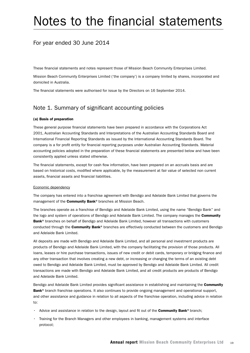## Notes to the financial statements

## For year ended 30 June 2014

These financial statements and notes represent those of Mission Beach Community Enterprises Limited.

Mission Beach Community Enterprises Limited ('the company') is a company limited by shares, incorporated and domiciled in Australia.

The financial statements were authorised for issue by the Directors on 16 September 2014.

### Note 1. Summary of significant accounting policies

#### (a) Basis of preparation

These general purpose financial statements have been prepared in accordance with the Corporations Act 2001, Australian Accounting Standards and Interpretations of the Australian Accounting Standards Board and International Financial Reporting Standards as issued by the International Accounting Standards Board. The company is a for profit entity for financial reporting purposes under Australian Accounting Standards. Material accounting policies adopted in the preparation of these financial statements are presented below and have been consistently applied unless stated otherwise.

The financial statements, except for cash flow information, have been prepared on an accruals basis and are based on historical costs, modified where applicable, by the measurement at fair value of selected non current assets, financial assets and financial liabilities.

#### Economic dependency

The company has entered into a franchise agreement with Bendigo and Adelaide Bank Limited that governs the management of the **Community Bank®** branches at Mission Beach.

The branches operate as a franchise of Bendigo and Adelaide Bank Limited, using the name "Bendigo Bank" and the logo and system of operations of Bendigo and Adelaide Bank Limited. The company manages the Community Bank<sup>®</sup> branches on behalf of Bendigo and Adelaide Bank Limited, however all transactions with customers conducted through the **Community Bank®** branches are effectively conducted between the customers and Bendigo and Adelaide Bank Limited.

All deposits are made with Bendigo and Adelaide Bank Limited, and all personal and investment products are products of Bendigo and Adelaide Bank Limited, with the company facilitating the provision of those products. All loans, leases or hire purchase transactions, issues of new credit or debit cards, temporary or bridging finance and any other transaction that involves creating a new debt, or increasing or changing the terms of an existing debt owed to Bendigo and Adelaide Bank Limited, must be approved by Bendigo and Adelaide Bank Limited. All credit transactions are made with Bendigo and Adelaide Bank Limited, and all credit products are products of Bendigo and Adelaide Bank Limited.

Bendigo and Adelaide Bank Limited provides significant assistance in establishing and maintaining the Community Bank<sup>®</sup> branch franchise operations. It also continues to provide ongoing management and operational support, and other assistance and guidance in relation to all aspects of the franchise operation, including advice in relation to:

- Advice and assistance in relation to the design, layout and fit out of the **Community Bank**<sup>®</sup> branch;
- Training for the Branch Managers and other employees in banking, management systems and interface protocol;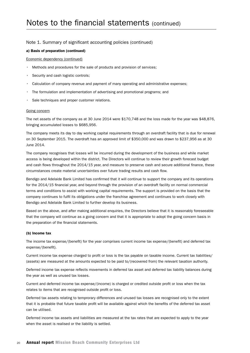#### a) Basis of preparation (continued)

Economic dependency (continued)

- Methods and procedures for the sale of products and provision of services;
- Security and cash logistic controls;
- Calculation of company revenue and payment of many operating and administrative expenses;
- The formulation and implementation of advertising and promotional programs; and
- Sale techniques and proper customer relations.

#### Going concern

The net assets of the company as at 30 June 2014 were \$170,748 and the loss made for the year was \$48,876, bringing accumulated losses to \$685,956.

The company meets its day to day working capital requirements through an overdraft facility that is due for renewal on 30 September 2015. The overdraft has an approved limit of \$350,000 and was drawn to \$237,956 as at 30 June 2014.

The company recognises that losses will be incurred during the development of the business and while market access is being developed within the district. The Directors will continue to review their growth forecast budget and cash flows throughout the 2014/15 year, and measure to preserve cash and secure additional finance, these circumstances create material uncertainties over future trading results and cash flow.

Bendigo and Adelaide Bank Limited has confirmed that it will continue to support the company and its operations for the 2014/15 financial year, and beyond through the provision of an overdraft facility on normal commercial terms and conditions to assist with working capital requirements. The support is provided on the basis that the company continues to fulfil its obligations under the franchise agreement and continues to work closely with Bendigo and Adelaide Bank Limited to further develop its business.

Based on the above, and after making additional enquiries, the Directors believe that it is reasonably foreseeable that the company will continue as a going concern and that it is appropriate to adopt the going concern basis in the preparation of the financial statements.

#### (b) Income tax

The income tax expense/(benefit) for the year comprises current income tax expense/(benefit) and deferred tax expense/(benefit).

Current income tax expense charged to profit or loss is the tax payable on taxable income. Current tax liabilities/ (assets) are measured at the amounts expected to be paid to/(recovered from) the relevant taxation authority.

Deferred income tax expense reflects movements in deferred tax asset and deferred tax liability balances during the year as well as unused tax losses.

Current and deferred income tax expense/(income) is charged or credited outside profit or loss when the tax relates to items that are recognised outside profit or loss.

Deferred tax assets relating to temprorary differences and unused tax losses are recognised only to the extent that it is probable that future taxable profit will be available against which the benefits of the deferred tax asset can be utilised.

Deferred income tax assets and liabilities are measured at the tax rates that are expected to apply to the year when the asset is realised or the liability is settled.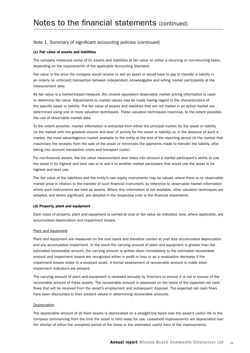#### (c) Fair value of assets and liabilities

The company measures some of its assets and liabilities at fair value on either a recurring or non-recurring basis, depending on the requirements of the applicable Accounting Standard.

Fair value is the price the company would receive to sell an asset or would have to pay to transfer a liability in an orderly (ie unforced) transaction between independent, knowledgable and willing market participants at the measurement date.

As fair value is a market-based measure, the closest equivalent observable market pricing information is used to determine fair value. Adjustments to market values may be made having regard to the characteristics of the specific asset or liability. The fair value of assets and liabilities that are not traded in an active market are determined using one or more valuation techniques. These valuation techniques maximise, to the extent possible, the use of observable market data.

To the extent possible, market information is extracted from either the principal market for the asset or liability (ie the market with the greatest volume and level of activity for the asset or liability) or, in the absence of such a market, the most advantageous market available to the entity at the end of the reporting period (ie the market that maximises the receipts from the sale of the asset or minimises the payments made to transfer the liability, after taking into account transaction costs and transport costs).

For non-financial assets, the fair value measurement also takes into account a market participant's ability to use the asset in its highest and best use or to sell it to another market participant that would use the asset in its highest and best use.

The fair value of the liabilities and the entity's own equity instruments may be valued, where there is no observable market price in relation to the transfer of such financial instrument, by reference to observable market information where such instruments are held as assets. Where this information is not available, other valuation techniques are adopted, and where significant, are detailed in the respective note to the financial statements.

#### (d) Property, plant and equipment

Each class of property, plant and equipment is carried at cost or fair value as indicated, less, where applicable, any accumulated depreciation and impairment losses.

#### Plant and equipment

Plant and equipment are measured on the cost basis and therefore carried at cost less accumulated depreciation and any accumulated impairment. In the event the carrying amount of plant and equipment is greater than the estimated recoverable amount, the carrying amount is written down immediately to the estimated recoverable amount and impairment losses are recognised either in profit or loss or as a revaluation decrease if the impairment losses relate to a revalued asset. A formal assessment of recoverable amount is made when impairment indicators are present.

The carrying amount of plant and equipment is reviewed annually by Directors to ensure it is not in excess of the recoverable amount of these assets. The recoverable amount is assessed on the basis of the expected net cash flows that will be received from the asset's employment and subsequent disposal. The expected net cash flows have been discounted to their present values in determining recoverable amounts.

#### **Depreciation**

The depreciable amount of all fixed assets is depreciated on a straight-line basis over the asset's useful life to the company commencing from the time the asset is held ready for use. Leasehold improvements are depreciated over the shorter of either the unexpired period of the lease or the estimated useful lives of the improvements.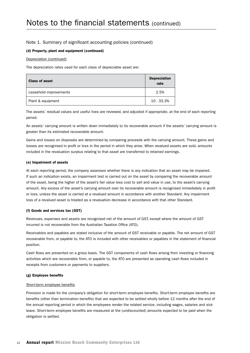#### (d) Property, plant and equipment (continued)

#### Depreciation (continued)

The depreciation rates used for each class of depreciable asset are:

| <b>Class of asset</b>  | <b>Depreciation</b><br>rate |
|------------------------|-----------------------------|
| Leasehold improvements | 2.5%                        |
| Plant & equipment      | $10 - 33.3%$                |

The assets' residual values and useful lives are reviewed, and adjusted if appropriate, at the end of each reporting period.

An assets' carrying amount is written down immediately to its recoverable amount if the assets' carrying amount is greater than its estimated recoverable amount.

Gains and losses on disposals are determined by comparing proceeds with the carrying amount. These gains and losses are recognised in profit or loss in the period in which they arise. When revalued assets are sold, amounts included in the revaluation surplus relating to that asset are transferred to retained earnings.

#### (e) Impairment of assets

At each reporting period, the company assesses whether there is any indication that an asset may be impaired. If such an indication exists, an impairment test is carried out on the asset by comparing the recoverable amount of the asset, being the higher of the asset's fair value less cost to sell and value in use, to the asset's carrying amount. Any excess of the asset's carrying amount over its recoverable amount is recognised immediately in profit or loss, unless the asset is carried at a revalued amount in accordance with another Standard. Any impairment loss of a revalued asset is treated as a revaluation decrease in accordance with that other Standard.

#### (f) Goods and services tax (GST)

Revenues, expenses and assets are recognised net of the amount of GST, except where the amount of GST incurred is not recoverable from the Australian Taxation Office (ATO).

Receivables and payables are stated inclusive of the amount of GST receivable or payable. The net amount of GST recoverable from, or payable to, the ATO is included with other receivables or payables in the statement of financial position.

Cash flows are presented on a gross basis. The GST components of cash flows arising from investing or financing activities which are recoverable from, or payable to, the ATO are presented as operating cash flows included in receipts from customers or payments to suppliers.

#### (g) Employee benefits

#### Short-term employee benefits

Provision is made for the company's obligation for short-term employee benefits. Short-term employee benefits are benefits (other than termination benefits) that are expected to be settled wholly before 12 months after the end of the annual reporting period in which the employees render the related service, including wages, salaries and sick leave. Short-term employee benefits are measured at the (undiscounted) amounts expected to be paid when the obligation is settled.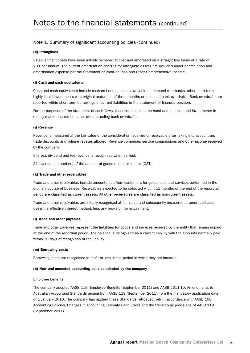#### (h) Intangibles

Establishment costs have been initially recorded at cost and amortised on a straight line basis at a rate of 20% per annum. The current amortisation charges for intangible assets are included under depreciation and amortisation expense per the Statement of Profit or Loss and Other Comprehensive Income.

#### (i) Cash and cash equivalents

Cash and cash equivalents include cash on hand, deposits available on demand with banks, other short-term highly liquid investments with original maturities of three months or less, and bank overdrafts. Bank overdrafts are reported within short-term borrowings in current liabilities in the statement of financial position.

For the purposes of the statement of cash flows, cash includes cash on hand and in banks and investments in money market instruments, net of outstanding bank overdrafts.

#### (j) Revenue

Revenue is measured at the fair value of the consideration received or receivable after taking into account any trade discounts and volume rebates allowed. Revenue comprises service commissions and other income received by the company.

Interest, dividend and fee revenue is recognised when earned.

All revenue is stated net of the amount of goods and services tax (GST).

#### (k) Trade and other receivables

Trade and other receivables include amounts due from customers for goods sold and services performed in the ordinary course of business. Receivables expected to be collected withint 12 months of the end of the reporting period are classified as current assets. All other receivables are classified as non-current assets.

Trade and other receivables are initially recognised at fair value and subseqently measured at amortised cost using the effective interest method, less any provision for impairment.

#### (l) Trade and other payables

Trade and other payables represent the liabilities for goods and services received by the entity that remain unpaid at the end of the reporting period. The balance is recognised as a current liability with the amounts normally paid within 30 days of recognition of the liability.

#### (m) Borrowing costs

Borrowing costs are recognised in profit or loss in the period in which they are incurred.

#### (n) New and amended accounting policies adopted by the company

#### Employee benefits

The company adopted AASB 119: Employee Benefits (September 2011) and AASB 2011-10: Amendments to Australian Accounting Standards arising from AASB 119 (September 2011) from the mandatory application date of 1 January 2013. The company has applied these Standards retrospectively in accordance with AASB 108: Accounting Policies, Changes in Accounting Estimates and Errors and the transitional provisions of AASB 119 (September 2011).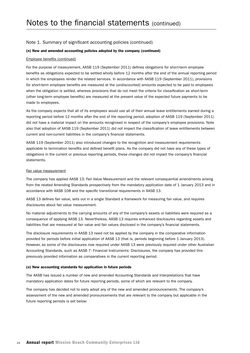#### (n) New and amended accounting policies adopted by the company (continued)

#### Employee benefits (continued)

For the purpose of measurement, AASB 119 (September 2011) defines obligations for short-term employee benefits as obligations expected to be settled wholly before 12 months after the end of the annual reporting period in which the employees render the related services. In accordance with AASB 119 (September 2011), provisions for short-term employee benefits are measured at the (undiscounted) amounts expected to be paid to employees when the obligation is settled, whereas provisions that do not meet the criteria for classification as short-term (other long-term employee benefits) are measured at the present value of the expected future payments to be made to employees.

As the company expects that all of its employees would use all of their annual leave entitlements earned during a reporting period before 12 months after the end of the reporting period, adoption of AASB 119 (September 2011) did not have a material impact on the amounts recognised in respect of the company's employee provisions. Note also that adoption of AASB 119 (September 2011) did not impact the classification of leave entitlements between current and non-current liabilities in the company's financial statements.

AASB 119 (September 2011) also introduced changes to the recognition and measurement requirements applicable to termination benefits and defined benefit plans. As the company did not have any of these types of obligations in the current or previous reporting periods, these changes did not impact the company's financial statements.

#### Fair value measurement

The company has applied AASB 13: Fair Value Measurement and the relevant consequential amendments arising from the related Amending Standards prospectively from the mandatory application date of 1 January 2013 and in accordance with AASB 108 and the specific transitional requirements in AASB 13.

AASB 13 defines fair value, sets out in a single Standard a framework for measuring fair value, and requires disclosures about fair value measurement.

No material adjustments to the carrying amounts of any of the company's assets or liabilities were required as a consequence of applying AASB 13. Nevertheless, AASB 13 requires enhanced disclosures regarding assets and liabilities that are measured at fair value and fair values disclosed in the company's financial statements.

The disclosure requirements in AASB 13 need not be applied by the company in the comparative information provided for periods before initial application of AASB 13 (that is, periods beginning before 1 January 2013). However, as some of the disclosures now required under AASB 13 were previously required under other Australian Accounting Standards, such as AASB 7: Financial Instruments: Disclosures, the company has provided this previously provided information as comparatives in the current reporting period.

#### (o) New accounting standards for application in future periods

The AASB has issued a number of new and amended Accounting Standards and Interpretations that have mandatory application dates for future reporting periods, some of which are relevant to the company.

The company has decided not to early adopt any of the new and amended pronouncements. The company's assessment of the new and amended pronouncements that are relevant to the company but applicable in the future reporting periods is set below: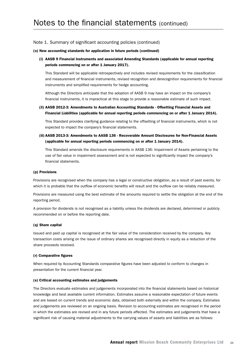#### (o) New accounting standards for application in future periods (continued)

(i) AASB 9 Financial Instruments and associated Amending Standards (applicable for annual reporting periods commencing on or after 1 January 2017).

This Standard will be applicable retrospectively and includes revised requirements for the classification and measurement of financial instruments, revised recognition and derecognition requirements for financial instruments and simplified requirements for hedge accounting.

Although the Directors anticipate that the adoption of AASB 9 may have an impact on the company's financial instruments, it is impractical at this stage to provide a reasonable estimate of such impact.

(ii) AASB 2012-3: Amendments to Australian Accounting Standards - Offsetting Financial Assets and Financial Liabilities (applicable for annual reporting periods commencing on or after 1 January 2014).

This Standard provides clarifying guidance relating to the offsetting of financial instruments, which is not expected to impact the company's financial statements.

(iii) AASB 2013-3: Amendments to AASB 136 - Recoverable Amount Disclosures for Non-Financial Assets (applicable for annual reporting periods commencing on or after 1 January 2014).

This Standard amends the disclosure requirements in AASB 136: Impairment of Assets pertaining to the use of fair value in impairment assessment and is not expected to significantly impact the company's financial statements.

#### (p) Provisions

Provisions are recognised when the company has a legal or constructive obligation, as a result of past events, for which it is probable that the outflow of economic benefits will result and the outflow can be reliably measured.

Provisions are measured using the best estimate of the amounts required to settle the obligation at the end of the reporting period.

A provision for dividends is not recognised as a liability unless the dividends are declared, determined or publicly recommended on or before the reporting date.

#### (q) Share capital

Issued and paid up capital is recognised at the fair value of the consideration received by the company. Any transaction costs arising on the issue of ordinary shares are recognised directly in equity as a reduction of the share proceeds received.

#### (r) Comparative figures

When required by Accounting Standards comparative figures have been adjusted to conform to changes in presentation for the current financial year.

#### (s) Critical accounting estimates and judgements

The Directors evaluate estimates and judgements incorporated into the financial statements based on historical knowledge and best available current information. Estimates assume a reasonable expectation of future events and are based on current trends and economic data, obtained both externally and within the company. Estimates and judgements are reviewed on an ongoing basis. Revision to accounting estimates are recognised in the period in which the estimates are revised and in any future periods affected. The estimates and judgements that have a significant risk of causing material adjustments to the carrying values of assets and liabilities are as follows: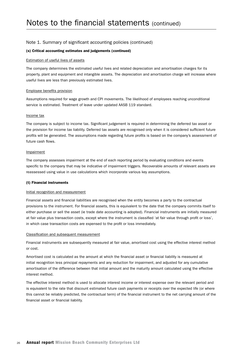#### (s) Critical accounting estimates and judgements (continued)

#### Estimation of useful lives of assets

The company determines the estimated useful lives and related depreciation and amortisation charges for its property, plant and equipment and intangible assets. The depreciation and amortisation charge will increase where useful lives are less than previously estimated lives.

#### Employee benefits provision

Assumptions required for wage growth and CPI movements. The likelihood of employees reaching unconditional service is estimated. Treatment of leave under updated AASB 119 standard.

#### Income tax

The company is subject to income tax. Significant judgement is required in determining the deferred tax asset or the provision for income tax liability. Deferred tax assets are recognised only when it is considered sufficient future profits will be generated. The assumptions made regarding future profits is based on the company's assessment of future cash flows.

#### **Impairment**

The company assesses impairment at the end of each reporting period by evaluating conditions and events specific to the company that may be indicative of impairment triggers. Recoverable amounts of relevant assets are reassessed using value in use calculations which incorporate various key assumptions.

#### (t) Financial instruments

#### Initial recognition and measurement

Financial assets and financial liabilities are recognised when the entity becomes a party to the contractual provisions to the instrument. For financial assets, this is equivalent to the date that the company commits itself to either purchase or sell the asset (ie trade date accounting is adopted). Financial instruments are initially measured at fair value plus transaction costs, except where the instrument is classified 'at fair value through profit or loss', in which case transaction costs are expensed to the profit or loss immediately.

#### Classification and subsequent measurement

Financial instruments are subsequently measured at fair value, amortised cost using the effective interest method or cost.

Amortised cost is calculated as the amount at which the financial asset or financial liability is measured at initial recognition less principal repayments and any reduction for impairment, and adjusted for any cumulative amortisation of the difference between that initial amount and the maturity amount calculated using the effective interest method.

The effective interest method is used to allocate interest income or interest expense over the relevant period and is equivalent to the rate that discount estimated future cash payments or receipts over the expected life (or where this cannot be reliably predicted, the contractual term) of the financial instrument to the net carrying amount of the financial asset or financial liability.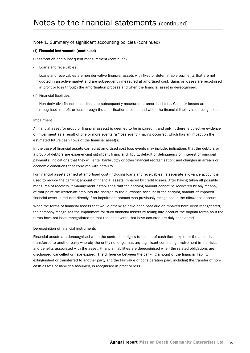#### (t) Financial instruments (continued)

#### Classification and subsequent measurement (continued)

(i) Loans and receivables

Loans and receivables are non derivative financial assets with fixed or determinable payments that are not quoted in an active market and are subsequently measured at amortised cost. Gains or losses are recognised in profit or loss through the amortisation process and when the financial asset is derecognised.

(ii) Financial liabilities

Non derivative financial liabilities are subsequently measured at amortised cost. Gains or losses are recognised in profit or loss through the amortisation process and when the financial liability is derecognised.

#### **Impairment**

A financial asset (or group of financial assets) is deemed to be impaired if, and only if, there is objective evidence of impairment as a result of one or more events (a "loss event") having occurred, which has an impact on the estimated future cash flows of the financial asset(s).

In the case of financial assets carried at amortised cost loss events may include: indications that the debtors or a group of debtors are experiencing significant financial difficulty, default or delinquency on interest or principal payments; indications that they will enter bankruptcy or other financial reorganisation; and changes in arrears or economic conditions that correlate with defaults.

For financial assets carried at amortised cost (including loans and receivables), a separate allowance account is used to reduce the carrying amount of financial assets impaired by credit losses. After having taken all possible measures of recovery, if management establishes that the carrying amount cannot be recovered by any means, at that point the written-off amounts are charged to the allowance account or the carrying amount of impaired financial asset is reduced directly if no impairment amount was previously recognised in the allowance account.

When the terms of financial assets that would otherwise have been past due or impaired have been renegotiated, the company recognises the impairment for such financial assets by taking into account the original terms as if the terms have not been renegotiated so that the loss events that have occurred are duly considered.

#### Derecognition of financial instruments

Financial assets are derecognised when the contractual rights to receipt of cash flows expire or the asset is transferred to another party whereby the entity no longer has any significant continuing involvement in the risks and benefits associated with the asset. Financial liabilities are derecognised when the related obligations are discharged, cancelled or have expired. The difference between the carrying amount of the financial liability extinguished or transferred to another party and the fair value of consideration paid, including the transfer of noncash assets or liabilities assumed, is recognised in profit or loss.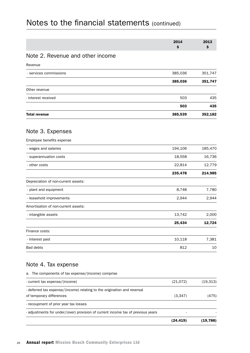|                                     | 2014    | 2013    |
|-------------------------------------|---------|---------|
|                                     | \$      | \$      |
| Note 2. Revenue and other income    |         |         |
| Revenue                             |         |         |
| - services commissions              | 385,036 | 351,747 |
|                                     | 385,036 | 351,747 |
| Other revenue                       |         |         |
| - interest received                 | 503     | 435     |
|                                     | 503     | 435     |
| <b>Total revenue</b>                | 385,539 | 352,182 |
| Note 3. Expenses                    |         |         |
| Employee benefits expense           |         |         |
| - wages and salaries                | 194,106 | 185,470 |
| - superannuation costs              | 18,558  | 16,736  |
| - other costs                       | 22,814  | 12,779  |
|                                     | 235,478 | 214,985 |
| Depreciation of non-current assets: |         |         |
| - plant and equipment               | 8,748   | 7,780   |
| - leasehold improvements            | 2,944   | 2,944   |
| Amortisation of non-current assets: |         |         |
| - intangible assets                 | 13,742  | 2,000   |
|                                     | 25,434  | 12,724  |
| Finance costs:                      |         |         |
| - Interest paid                     | 10,118  | 7,381   |
| Bad debts                           | 812     | 10      |

a. The components of tax expense/(income) comprise

|                                                                                  | (24.419) | (19.788) |
|----------------------------------------------------------------------------------|----------|----------|
| - adjustments for under/(over) provision of current income tax of previous years |          |          |
| - recoupment of prior year tax losses                                            |          |          |
| of temporary differences                                                         | (3,347)  | (475)    |
| - deferred tax expense/(income) relating to the origination and reversal         |          |          |
| - current tax expense/(income)                                                   | (21,072) | (19,313) |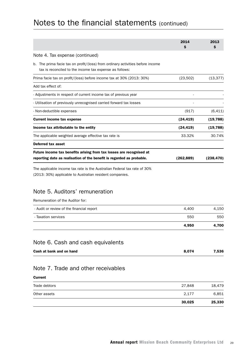|                                                                                                                                           | 2014<br>s | 2013<br>S  |
|-------------------------------------------------------------------------------------------------------------------------------------------|-----------|------------|
| Note 4. Tax expense (continued)                                                                                                           |           |            |
| b. The prima facie tax on profit/(loss) from ordinary activities before income<br>tax is reconciled to the income tax expense as follows: |           |            |
| Prima facie tax on profit/(loss) before income tax at 30% (2013: 30%)                                                                     | (23,502)  | (13, 377)  |
| Add tax effect of:                                                                                                                        |           |            |
| - Adjustments in respect of current income tax of previous year                                                                           |           |            |
| - Utilisation of previously unrecognised carried forward tax losses                                                                       |           |            |
| - Non-deductible expenses                                                                                                                 | (917)     | (6, 411)   |
| <b>Current income tax expense</b>                                                                                                         | (24, 419) | (19, 788)  |
| Income tax attributable to the entity                                                                                                     | (24, 419) | (19, 788)  |
| The applicable weighted average effective tax rate is                                                                                     | 33.32%    | 30.74%     |
| Deferred tax asset                                                                                                                        |           |            |
| Future income tax benefits arising from tax losses are recognised at                                                                      |           |            |
| reporting date as realisation of the benefit is regarded as probable.                                                                     | (262,889) | (238, 470) |
| The applicable income tax rate is the Australian Federal tax rate of 30%                                                                  |           |            |

(2013: 30%) applicable to Australian resident companies.

### Note 5. Auditors' remuneration

Remuneration of the Auditor for:

|                                           | 4.950 | 4.700 |
|-------------------------------------------|-------|-------|
| - Taxation services                       | 550   | 550   |
| - Audit or review of the financial report | 4.400 | 4,150 |

### Note 6. Cash and cash equivalents

| Cash at bank and on hand | 8.074 | 7,536 |
|--------------------------|-------|-------|
|                          |       |       |

### Note 7. Trade and other receivables

| <b>Current</b> |        |        |
|----------------|--------|--------|
| Trade debtors  | 27,848 | 18,479 |
| Other assets   | 2.177  | 6,851  |
|                | 30,025 | 25,330 |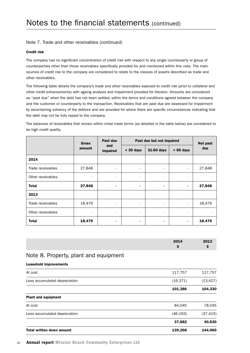#### Note 7. Trade and other receivables (continued)

#### Credit risk

The company has no significant concentration of credit risk with respect to any single counterparty or group of counterparties other than those receivables specifically provided for and mentioned within this note. The main sources of credit risk to the company are considered to relate to the classes of assets described as trade and other receivables.

The following table details the company's trade and other receivables exposed to credit risk (prior to collateral and other credit enhancements) with ageing analysis and impairment provided for thereon. Amounts are considered as "past due" when the debt has not been settled, within the terms and conditions agreed between the company and the customer or counterparty to the transaction. Receivables that are past due are assessed for impairment by ascertaining solvency of the debtors and are provided for where there are specific circumstances indicating that the debt may not be fully repaid to the company.

The balances of receivables that remain within initial trade terms (as detailed in the table below) are considered to be high credit quality.

|                   | <b>Gross</b>   | Past due                 |                          | Past due but not impaired |                          | Not past |
|-------------------|----------------|--------------------------|--------------------------|---------------------------|--------------------------|----------|
|                   | amount         | and<br>impaired          | $<$ 30 days              | 31-60 days                | $> 60$ days              | due      |
| 2014              |                |                          |                          |                           |                          |          |
| Trade receivables | 27,848         | ٠                        | $\overline{\phantom{a}}$ | ٠                         | $\overline{\phantom{a}}$ | 27,848   |
| Other receivables | ٠              | $\overline{\phantom{a}}$ | $\overline{\phantom{a}}$ | ٠                         | $\overline{\phantom{a}}$ |          |
| <b>Total</b>      | 27,848         | ۰                        | $\blacksquare$           | ۰                         | ٠                        | 27,848   |
| 2013              |                |                          |                          |                           |                          |          |
| Trade receivables | 18,479         | ٠                        | ٠                        | ٠                         | $\overline{\phantom{a}}$ | 18,479   |
| Other receivables | $\blacksquare$ | $\overline{\phantom{a}}$ | $\overline{\phantom{a}}$ | $\overline{\phantom{a}}$  | $\overline{\phantom{a}}$ |          |
| <b>Total</b>      | 18,479         | ۰                        | ٠                        | ٠                         | ٠                        | 18,479   |

| 2014 | 2013 |
|------|------|
| ∍    | - 3  |

#### Note 8. Property, plant and equipment

#### Leasehold improvements

|           | 144,960   |
|-----------|-----------|
| 37,882    | 40,630    |
| (46, 163) | (37, 415) |
| 84.045    | 78,045    |
|           |           |
| 101,386   | 104,330   |
| (16, 371) | (13, 427) |
| 117,757   | 117,757   |
|           | 139,268   |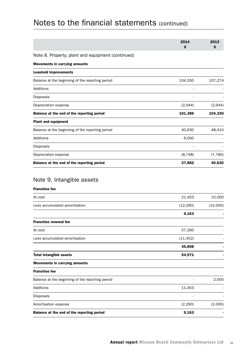|                                                   | 2014<br>\$ | 2013<br>\$ |
|---------------------------------------------------|------------|------------|
| Note 8. Property, plant and equipment (continued) |            |            |
| <b>Movements in carrying amounts</b>              |            |            |
| <b>Leashold improvements</b>                      |            |            |
| Balance at the beginning of the reporting period  | 104,330    | 107,274    |
| Additions                                         |            |            |
| <b>Disposals</b>                                  |            |            |
| Depreciation expense                              | (2,944)    | (2,944)    |
| Balance at the end of the reporting period        | 101,386    | 104,330    |
| <b>Plant and equipment</b>                        |            |            |
| Balance at the beginning of the reporting period  | 40,630     | 48,410     |
| Additions                                         | 6,000      |            |
| Disposals                                         |            |            |
| Depreciation expense                              | (8, 748)   | (7,780)    |
| Balance at the end of the reporting period        | 37,882     | 40,630     |

## Note 9. Intangible assets

#### Franchise fee

| At cost                                          | 21,453    | 10,000   |
|--------------------------------------------------|-----------|----------|
| Less accumulated amortisation                    | (12, 290) | (10,000) |
|                                                  | 9,163     |          |
| <b>Franchise renewal fee</b>                     |           |          |
| At cost                                          | 57,260    |          |
| Less accumulated amortisation                    | (11, 452) |          |
|                                                  | 45,808    |          |
| <b>Total Intangible assets</b>                   | 54,971    |          |
| <b>Movements in carrying amounts</b>             |           |          |
| <b>Franchise fee</b>                             |           |          |
| Balance at the beginning of the reporting period |           | 2,000    |
| Additions                                        | 11,453    |          |
| Disposals                                        |           |          |
| Amortisation expense                             | (2,290)   | (2,000)  |
| Balance at the end of the reporting period       | 9,163     |          |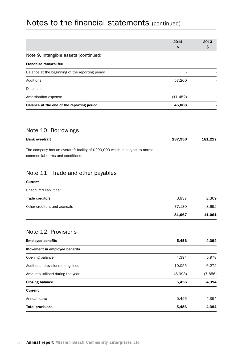|                                                  | 2014<br>\$ | 2013<br>Ş |
|--------------------------------------------------|------------|-----------|
| Note 9. Intangible assets (continued)            |            |           |
| <b>Franchise renewal fee</b>                     |            |           |
| Balance at the beginning of the reporting period |            |           |
| Additions                                        | 57,260     |           |
| <b>Disposals</b>                                 |            |           |
| Amortisation expense                             | (11, 452)  | ۰         |
| Balance at the end of the reporting period       | 45,808     |           |

## Note 10. Borrowings

| <b>Bank overdraft</b>                                                         | 237.956 | 181.217 |
|-------------------------------------------------------------------------------|---------|---------|
| The company has an overdraft facility of \$290,000 which is subject to normal |         |         |

commercial terms and conditions.

## Note 11. Trade and other payables

#### Current

| 3.937<br>2,369<br>Trade creditors |
|-----------------------------------|

## Note 12. Provisions

| <b>Employee benefits</b>             | 5,456   | 4,394   |
|--------------------------------------|---------|---------|
| <b>Movement in employee benefits</b> |         |         |
| Opening balance                      | 4,394   | 5,978   |
| Additional provisions recognised     | 10,055  | 6,272   |
| Amounts utilised during the year     | (8,993) | (7,856) |
| <b>Closing balance</b>               | 5,456   | 4,394   |
| <b>Current</b>                       |         |         |
| Annual leave                         | 5,456   | 4,394   |
| <b>Total provisions</b>              | 5,456   | 4,394   |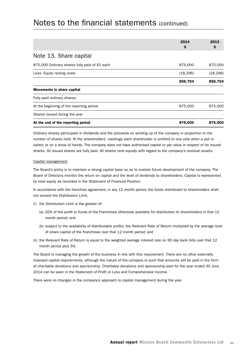|                                                | 2014<br>\$ | 2013<br>Ş |
|------------------------------------------------|------------|-----------|
| Note 13. Share capital                         |            |           |
| 875,000 Ordinary shares fully paid of \$1 each | 875,000    | 875,000   |
| Less: Equity raising costs                     | (18, 296)  | (18, 296) |
|                                                | 856,704    | 856,704   |
| <b>Movements in share capital</b>              |            |           |
| Fully paid ordinary shares:                    |            |           |
| At the beginning of the reporting period       | 875,000    | 875,000   |
| Shares issued during the year                  |            |           |
| At the end of the reporting period             | 875,000    | 875,000   |

Ordinary shares participate in dividends and the proceeds on winding up of the company in proportion to the number of shares held. At the shareholders' meetings each shareholder is entitled to one vote when a poll is called, or on a show of hands. The company does not have authorised capital or par value in respect of its issued shares. All issued shares are fully paid. All shares rank equally with regard to the company's residual assets.

#### Capital management

The Board's policy is to maintain a strong capital base so as to sustain future development of the company. The Board of Directors monitor the return on capital and the level of dividends to shareholders. Capital is represented by total equity as recorded in the Statement of Financial Position.

In accordance with the franchise agreement, in any 12 month period, the funds distributed to shareholders shall not exceed the Distribution Limit.

- (i) the Distribution Limit is the greater of:
	- (a) 20% of the profit or funds of the Franchisee otherwise available for distribution to shareholders in that 12 month period; and
	- (b) subject to the availability of distributable profits, the Relevant Rate of Return multiplied by the average level of share capital of the Franchisee over that 12 month period; and
- (ii) the Relevant Rate of Return is equal to the weighted average interest rate on 90 day bank bills over that 12 month period plus 5%.

The Board is managing the growth of the business in line with this requirement. There are no other externally imposed capital requirements, although the nature of the company is such that amounts will be paid in the form of charitable donations and sponsorship. Charitable donations and sponsorship paid for the year ended 30 June 2014 can be seen in the Statement of Profit or Loss and Comprehensive Income.

There were no changes in the company's approach to capital management during the year.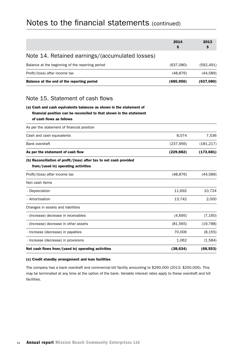| Profit/(loss) after income tax                   | (48, 876) | (44,589)   |
|--------------------------------------------------|-----------|------------|
| Balance at the beginning of the reporting period | (637,080) | (592, 491) |
| Note 14. Retained earnings/(accumulated losses)  |           |            |
|                                                  | 2014<br>Ş | 2013<br>Ş  |

### Note 15. Statement of cash flows

#### (a) Cash and cash equivalents balances as shown in the statement of financial position can be reconciled to that shown in the statement

| of cash flows as follows                                                                                  |            |            |
|-----------------------------------------------------------------------------------------------------------|------------|------------|
| As per the statement of financial position                                                                |            |            |
| Cash and cash equivalents                                                                                 | 8,074      | 7,536      |
| Bank overdraft                                                                                            | (237, 956) | (181, 217) |
| As per the statement of cash flow                                                                         | (229, 882) | (173, 681) |
| (b) Reconciliation of profit/(loss) after tax to net cash provided<br>from/(used in) operating activities |            |            |
| Profit/(loss) after income tax                                                                            | (48, 876)  | (44, 589)  |
| Non cash items                                                                                            |            |            |
| - Depreciation                                                                                            | 11,692     | 10,724     |
| - Amortisation                                                                                            | 13,742     | 2,000      |
| Changes in assets and liabilities                                                                         |            |            |
| - (Increase) decrease in receivables                                                                      | (4,695)    | (7, 160)   |
| - (Increase) decrease in other assets                                                                     | (81, 565)  | (19, 788)  |
| - Increase (decrease) in payables                                                                         | 70,006     | (8, 155)   |
| - Increase (decrease) in provisions                                                                       | 1,062      | (1,584)    |
| Net cash flows from/(used in) operating activities                                                        | (38, 634)  | (68, 553)  |

#### (c) Credit standby arrangement and loan facilities

The company has a bank overdraft and commercial bill facility amounting to \$290,000 (2013: \$250,000). This may be terminated at any time at the option of the bank. Variable interest rates apply to these overdraft and bill facilities.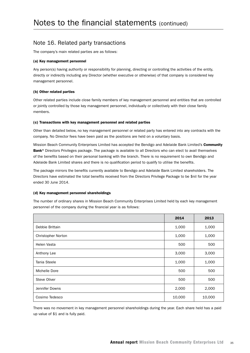## Note 16. Related party transactions

The company's main related parties are as follows:

#### (a) Key management personnel

Any person(s) having authority or responsibility for planning, directing or controlling the activities of the entity, directly or indirectly including any Director (whether executive or otherwise) of that company is considered key management personnel.

#### (b) Other related parties

Other related parties include close family members of key management personnel and entities that are controlled or jointly controlled by those key management personnel, individually or collectively with their close family members.

#### (c) Transactions with key management personnel and related parties

Other than detailed below, no key management personnel or related party has entered into any contracts with the company. No Director fees have been paid as the positions are held on a voluntary basis.

Mission Beach Community Enterprises Limited has accepted the Bendigo and Adelaide Bank Limited's Community Bank<sup>®</sup> Directors Privileges package. The package is available to all Directors who can elect to avail themselves of the benefits based on their personal banking with the branch. There is no requirement to own Bendigo and Adelaide Bank Limited shares and there is no qualification period to qualify to utilise the benefits.

The package mirrors the benefits currently available to Bendigo and Adelaide Bank Limited shareholders. The Directors have estimated the total benefits received from the Directors Privilege Package to be \$nil for the year ended 30 June 2014.

#### (d) Key management personnel shareholdings

The number of ordinary shares in Mission Beach Community Enterprises Limited held by each key management personnel of the company during the financial year is as follows:

|                           | 2014   | 2013   |
|---------------------------|--------|--------|
| Debbie Brittain           | 1,000  | 1,000  |
| <b>Christopher Norton</b> | 1,000  | 1,000  |
| Helen Vasta               | 500    | 500    |
| Anthony Lee               | 3,000  | 3,000  |
| <b>Tania Steele</b>       | 1,000  | 1,000  |
| Michelle Dore             | 500    | 500    |
| <b>Steve Oliver</b>       | 500    | 500    |
| Jennifer Downs            | 2,000  | 2,000  |
| Cosimo Tedesco            | 10,000 | 10,000 |

There was no movement in key management personnel shareholdings during the year. Each share held has a paid up value of \$1 and is fully paid.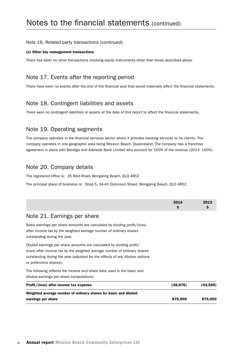#### Note 16. Related party transactions (continued)

#### (e) Other key management transactions

There has been no other transactions involving equity instruments other than those described above.

### Note 17. Events after the reporting period

There have been no events after the end of the financial year that would materially affect the financial statements.

### Note 18. Contingent liabilities and assets

There were no contingent liabilities or assets at the date of this report to affect the financial statements.

### Note 19. Operating segments

The company operates in the financial services sector where it provides banking services to its clients. The company operates in one geographic area being Mission Beach, Queensland. The company has a franchise agreement in place with Bendigo and Adelaide Bank Limited who account for 100% of the revenue (2013: 100%).

#### Note 20. Company details

The registered office is: 35 Reid Road, Wongaling Beach, QLD 4852

The principal place of business is: Shop 5, 34-40 Dickinson Street, Wongaling Beach, QLD 4852

|                                                                                                                                                                                                                                                               | 2014<br>s | 2013<br>S |
|---------------------------------------------------------------------------------------------------------------------------------------------------------------------------------------------------------------------------------------------------------------|-----------|-----------|
| Note 21. Earnings per share                                                                                                                                                                                                                                   |           |           |
| Basic earnings per share amounts are calculated by dividing profit/(loss)<br>after income tax by the weighted average number of ordinary shares<br>outstanding during the year.                                                                               |           |           |
| Diluted earnings per share amounts are calculated by dividing profit/<br>(loss) after income tax by the weighted average number of ordinary shares<br>outstanding during the year (adjusted for the effects of any dilutive options<br>or preference shares). |           |           |
| The following reflects the income and share data used in the basic and<br>diluted earnings per share computations:                                                                                                                                            |           |           |
| Profit/(loss) after income tax expense                                                                                                                                                                                                                        | (48,876)  | (44,589)  |
| Weighted average number of ordinary shares for basic and diluted<br>earnings per share                                                                                                                                                                        | 875,000   | 875,000   |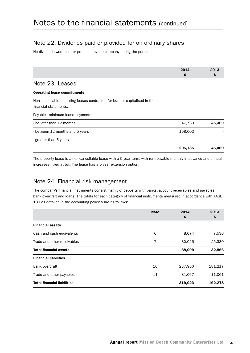## Note 22. Dividends paid or provided for on ordinary shares

No dividends were paid or proposed by the company during the period.

|                                                                                                     | 2014<br>Ş | 2013<br>Ş |
|-----------------------------------------------------------------------------------------------------|-----------|-----------|
| Note 23. Leases                                                                                     |           |           |
| <b>Operating lease commitments</b>                                                                  |           |           |
| Non-cancellable operating leases contracted for but not capitalised in the<br>financial statements: |           |           |
| Payable - minimum lease payments                                                                    |           |           |
| - no later than 12 months                                                                           | 47,733    | 45.460    |
| - between 12 months and 5 years                                                                     | 158,002   |           |
| - greater than 5 years                                                                              |           |           |
|                                                                                                     | 205,735   | 45,460    |

The property lease is a non-cancellable lease with a 5 year term, with rent payable monthly in advance and annual increases fixed at 5%. The lease has a 5 year extension option.

### Note 24. Financial risk management

The company's financial instruments consist mainly of deposits with banks, account receivables and payables, bank overdraft and loans. The totals for each category of financial instruments measured in accordance with AASB 139 as detailed in the accounting policies are as follows:

|                                    | <b>Note</b> | 2014<br>\$ | 2013<br>\$ |
|------------------------------------|-------------|------------|------------|
| <b>Financial assets</b>            |             |            |            |
| Cash and cash equivalents          | 6           | 8,074      | 7,536      |
| Trade and other receivables        | 7           | 30,025     | 25,330     |
| <b>Total financial assets</b>      |             | 38,099     | 32,866     |
| <b>Financial liabilities</b>       |             |            |            |
| Bank overdraft                     | 10          | 237,956    | 181,217    |
| Trade and other payables           | 11          | 81,067     | 11,061     |
| <b>Total financial liabilities</b> |             | 319,023    | 192,278    |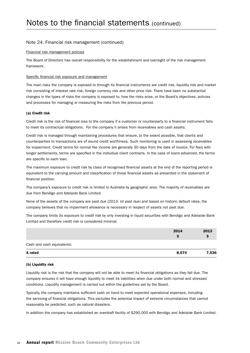#### Financial risk management policies

The Board of Directors has overall responsibility for the establishment and oversight of the risk management framework.

#### Specific financial risk exposure and management

The main risks the company is exposed to through its financial instruments are credit risk, liquidity risk and market risk consisting of interest rate risk, foreign currency risk and other price risk. There have been no substantial changes in the types of risks the company is exposed to, how the risks arise, or the Board's objectives, policies and processes for managing or measuring the risks from the previous period.

#### (a) Credit risk

Credit risk is the risk of financial loss to the company if a customer or counterparty to a financial instrument fails to meet its contractual obligations. For the company it arises from receivables and cash assets.

Credit risk is managed through maintaining procedures that ensure, to the extent possible, that clients and counterparties to transactions are of sound credit worthiness. Such monitoring is used in assessing receivables for impairment. Credit terms for normal fee income are generally 30 days from the date of invoice. For fees with longer settlements, terms are specified in the individual client contracts. In the case of loans advanced, the terms are specific to each loan.

The maximum exposure to credit risk by class of recognised financial assets at the end of the reporting period is equivalent to the carrying amount and classification of those financial assets as presented in the statement of financial position.

The company's exposure to credit risk is limited to Australia by geographic area. The majority of receivables are due from Bendigo and Adelaide Bank Limited.

None of the assets of the company are past due (2013: nil past due) and based on historic default rates, the company believes that no impairment allowance is necessary in respect of assets not past due.

The company limits its exposure to credit risk by only investing in liquid securities with Bendigo and Adelaide Bank Limited and therefore credit risk is considered minimal.

| A rated                    | 8,074     | 7,536 |
|----------------------------|-----------|-------|
| Cash and cash equivalents: |           |       |
|                            | 2014<br>s | 2013  |

#### (b) Liquidity risk

Liquidity risk is the risk that the company will not be able to meet its financial obligations as they fall due. The company ensures it will have enough liquidity to meet its liabilities when due under both normal and stressed conditions. Liquidity management is carried out within the guidelines set by the Board.

Typically, the company maintains sufficient cash on hand to meet expected operational expenses, including the servicing of financial obligations. This excludes the potential impact of extreme circumstances that cannot reasonably be predicted, such as natural disasters.

In addition the company has established an overdraft facility of \$290,000 with Bendigo and Adelaide Bank Limited.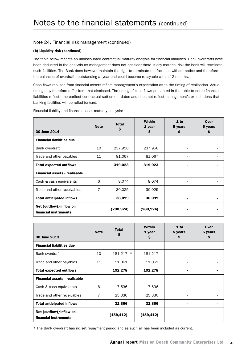#### (b) Liquidity risk (continued)

The table below reflects an undiscounted contractual maturity analysis for financial liabilities. Bank overdrafts have been deducted in the analysis as management does not consider there is any material risk the bank will terminate such facilities. The Bank does however maintain the right to terminate the facilities without notice and therefore the balances of overdrafts outstanding at year end could become repayable within 12 months.

Cash flows realised from financial assets reflect management's expectation as to the timing of realisation. Actual timing may therefore differ from that disclosed. The timing of cash flows presented in the table to settle financial liabilities reflects the earliest contractual settlement dates and does not reflect management's expectations that banking facilities will be rolled forward.

| 30 June 2014                                     | <b>Note</b> | <b>Total</b><br>S | <b>Within</b><br>1 year<br>\$ | 1 to<br>5 years<br>Ş | Over<br>5 years<br>Ş |
|--------------------------------------------------|-------------|-------------------|-------------------------------|----------------------|----------------------|
| <b>Financial liabilities due</b>                 |             |                   |                               |                      |                      |
| Bank overdraft                                   | 10          | 237,956           | 237,956                       |                      |                      |
| Trade and other payables                         | 11          | 81,067            | 81,067                        |                      |                      |
| <b>Total expected outflows</b>                   |             | 319,023           | 319,023                       |                      |                      |
| Financial assets - realisable                    |             |                   |                               |                      |                      |
| Cash & cash equivalents                          | 6           | 8,074             | 8,074                         |                      |                      |
| Trade and other receivables                      | 7           | 30,025            | 30,025                        |                      |                      |
| <b>Total anticipated inflows</b>                 |             | 38,099            | 38,099                        |                      |                      |
| Net (outflow)/inflow on<br>financial instruments |             | (280, 924)        | (280,924)                     |                      |                      |

Financial liability and financial asset maturity analysis:

| 30 June 2013                                     | <b>Note</b> | <b>Total</b><br>\$ | Within<br>1 year<br>S | 1 to<br>5 years<br>S     | Over<br>5 years<br>S |
|--------------------------------------------------|-------------|--------------------|-----------------------|--------------------------|----------------------|
| <b>Financial liabilities due</b>                 |             |                    |                       |                          |                      |
| Bank overdraft                                   | 10          | 181,217 *          | 181,217               | $\overline{\phantom{a}}$ |                      |
| Trade and other payables                         | 11          | 11,061             | 11,061                | ÷                        |                      |
| <b>Total expected outflows</b>                   |             | 192,278            | 192,278               |                          |                      |
| Financial assets - realisable                    |             |                    |                       |                          |                      |
| Cash & cash equivalents                          | 6           | 7,536              | 7,536                 |                          |                      |
| Trade and other receivables                      | 7           | 25,330             | 25,330                |                          |                      |
| <b>Total anticipated inflows</b>                 |             | 32,866             | 32,866                | $\blacksquare$           |                      |
| Net (outflow)/inflow on<br>financial instruments |             | (159, 412)         | (159, 412)            |                          |                      |

\* The Bank overdraft has no set repayment period and as such all has been included as current.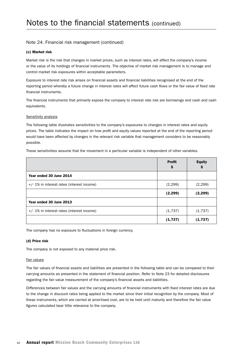#### (c) Market risk

Market risk is the risk that changes in market prices, such as interest rates, will affect the company's income or the value of its holdings of financial instruments. The objective of market risk management is to manage and control market risk exposures within acceptable parameters.

Exposure to interest rate risk arises on financial assets and financial liabilities recognised at the end of the reporting period whereby a future change in interest rates will affect future cash flows or the fair value of fixed rate financial instruments.

The financial instruments that primarily expose the company to interest rate risk are borrowings and cash and cash equivalents.

#### Sensitivity analysis

The following table illustrates sensitivities to the company's exposures to changes in interest rates and equity prices. The table indicates the impact on how profit and equity values reported at the end of the reporting period would have been affected by changes in the relevant risk variable that management considers to be reasonably possible.

These sensitivities assume that the movement in a particular variable is independent of other variables.

|                                            | <b>Profit</b><br>\$ | <b>Equity</b><br>Ş |
|--------------------------------------------|---------------------|--------------------|
| Year ended 30 June 2014                    |                     |                    |
| +/- 1% in interest rates (interest income) | (2, 299)            | (2,299)            |
|                                            | (2, 299)            | (2, 299)           |
| Year ended 30 June 2013                    |                     |                    |
| +/-1% in interest rates (interest income)  | (1,737)             | (1,737)            |
|                                            | (1,737)             | (1,737)            |

The company has no exposure to fluctuations in foreign currency.

#### (d) Price risk

The company is not exposed to any material price risk.

#### Fair values

The fair values of financial assets and liabilities are presented in the following table and can be compared to their carrying amounts as presented in the statement of financial position. Refer to Note 23 for detailed disclosures regarding the fair value measurement of the company's financial assets and liabilities.

Differences between fair values and the carrying amounts of financial instruments with fixed interest rates are due to the change in discount rates being applied to the market since their initial recognition by the company. Most of these instruments, which are carried at amortised cost, are to be held until maturity and therefore the fair value figures calculated bear little relevance to the company.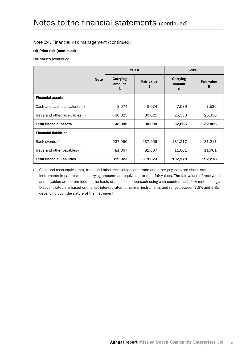#### (d) Price risk (continued)

Fair values (continued)

|                                    |             | 2014                     |                         | 2013                    |                         |
|------------------------------------|-------------|--------------------------|-------------------------|-------------------------|-------------------------|
|                                    | <b>Note</b> | Carrying<br>amount<br>\$ | <b>Fair value</b><br>\$ | Carrying<br>amount<br>S | <b>Fair value</b><br>\$ |
| <b>Financial assets</b>            |             |                          |                         |                         |                         |
| Cash and cash equivalents (i)      |             | 8,074                    | 8,074                   | 7,536                   | 7,536                   |
| Trade and other receivables (i)    |             | 30,025                   | 30,025                  | 25,330                  | 25,330                  |
| <b>Total financial assets</b>      |             | 38,099                   | 38,099                  | 32,866                  | 32,866                  |
| <b>Financial liabilities</b>       |             |                          |                         |                         |                         |
| Bank overdraft                     |             | 237,956                  | 237,956                 | 181,217                 | 181,217                 |
| Trade and other payables (i)       |             | 81,067                   | 81,067                  | 11,061                  | 11,061                  |
| <b>Total financial liabilities</b> |             | 319,023                  | 319,023                 | 192,278                 | 192,278                 |

(i) Cash and cash equivalents, trade and other receivables, and trade and other payables are short-term instruments in nature whose carrying amounts are equivalent to their fair values. The fair values of receivables and payables are determined on the basis of an income approach using a discounted cash flow methodology. Discount rates are based on market interest rates for similar instruments and range between 7.8% and 9.3%, depending upon the nature of the instrument.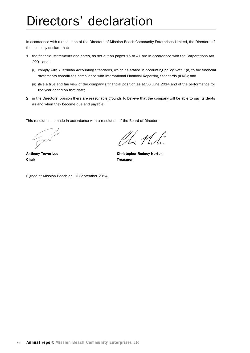## Directors' declaration

In accordance with a resolution of the Directors of Mission Beach Community Enterprises Limited, the Directors of the company declare that:

- 1 the financial statements and notes, as set out on pages 15 to 41 are in accordance with the Corporations Act 2001 and:
	- (i) comply with Australian Accounting Standards, which as stated in accounting policy Note 1(a) to the financial statements constitutes compliance with International Financial Reporting Standards (IFRS); and
	- (ii) give a true and fair view of the company's financial position as at 30 June 2014 and of the performance for the year ended on that date;
- 2 in the Directors' opinion there are reasonable grounds to believe that the company will be able to pay its debts as and when they become due and payable.

This resolution is made in accordance with a resolution of the Board of Directors.

Chair Treasurer

Phi Miti

Anthony Trevor Lee Christopher Rodney Norton

Signed at Mission Beach on 16 September 2014.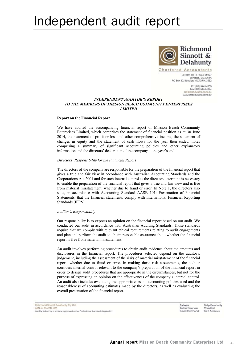## Independent audit report



Chartered Accountants Level 2, 10-16 Forest Street Bendigo, VICTORIA<br>PO Box 30, Bendigo VICTORIA 3552

> Ph: (03) 5445 4200 Fax: [03] 5444 4344 nd Bride www.rsdodvisors.com.gu

#### *INDEPENDENT AUDITOR'S REPORT TO THE MEMBERS OF MISSION BEACH COMMUNITY ENTERPRISES LIMITED*

#### **Report on the Financial Report**

We have audited the accompanying financial report of Mission Beach Community Enterprises Limited, which comprises the statement of financial position as at 30 June 2014, the statement of profit or loss and other comprehensive income, the statement of changes in equity and the statement of cash flows for the year then ended, notes comprising a summary of significant accounting policies and other explanatory information and the directors' declaration of the company at the year's end.

#### *Directors' Responsibility for the Financial Report*

The directors of the company are responsible for the preparation of the financial report that gives a true and fair view in accordance with Australian Accounting Standards and the Corporations Act 2001 and for such internal control as the directors determine is necessary to enable the preparation of the financial report that gives a true and fair view and is free from material misstatement, whether due to fraud or error. In Note 1, the directors also state, in accordance with Accounting Standard AASB 101: Presentation of Financial Statements, that the financial statements comply with International Financial Reporting Standards (IFRS).

#### *Auditor's Responsibility*

Our responsibility is to express an opinion on the financial report based on our audit. We conducted our audit in accordance with Australian Auditing Standards. Those standards require that we comply with relevant ethical requirements relating to audit engagements and plan and perform the audit to obtain reasonable assurance about whether the financial report is free from material misstatement.

An audit involves performing procedures to obtain audit evidence about the amounts and disclosures in the financial report. The procedures selected depend on the auditor's judgement, including the assessment of the risks of material misstatement of the financial report, whether due to fraud or error. In making those risk assessments, the auditor considers internal control relevant to the company's preparation of the financial report in order to design audit procedures that are appropriate in the circumstances, but not for the purpose of expressing an opinion on the effectiveness of the company's internal control. An audit also includes evaluating the appropriateness of accounting policies used and the reasonableness of accounting estimates made by the directors, as well as evaluating the overall presentation of the financial report.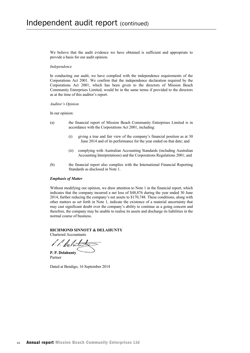We believe that the audit evidence we have obtained is sufficient and appropriate to provide a basis for our audit opinion.

#### *Independence*

In conducting our audit, we have complied with the independence requirements of the Corporations Act 2001. We confirm that the independence declaration required by the Corporations Act 2001, which has been given to the directors of Mission Beach Community Enterprises Limited, would be in the same terms if provided to the directors as at the time of this auditor's report.

#### *Auditor's Opinion*

In our opinion:

- (a) the financial report of Mission Beach Community Enterprises Limited is in accordance with the Corporations Act 2001, including:
	- (i) giving a true and fair view of the company's financial position as at 30 June 2014 and of its performance for the year ended on that date; and
	- (ii) complying with Australian Accounting Standards (including Australian Accounting Interpretations) and the Corporations Regulations 2001; and
- (b) the financial report also complies with the International Financial Reporting Standards as disclosed in Note 1.

#### *Emphasis of Matter*

Without modifying our opinion, we draw attention to Note 1 in the financial report, which indicates that the company incurred a net loss of \$48,876 during the year ended 30 June 2014, further reducing the company's net assets to \$170,748. These conditions, along with other matters as set forth in Note 1, indicate the existence of a material uncertainty that may cast significant doubt over the company's ability to continue as a going concern and therefore, the company may be unable to realise its assets and discharge its liabilities in the normal course of business.

**RICHMOND SINNOTT & DELAHUNTY** Chartered Accountants

' flo l

**P. P. Delahunty** Partner

Dated at Bendigo, 16 September 2014